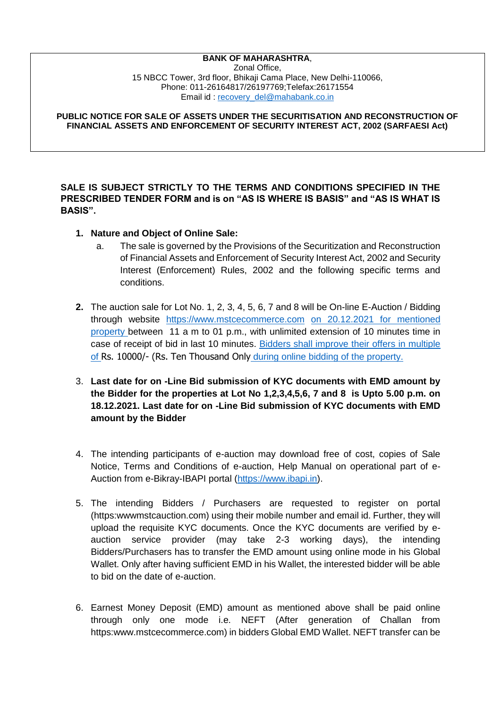## **BANK OF MAHARASHTRA**,

Zonal Office, 15 NBCC Tower, 3rd floor, Bhikaji Cama Place, New Delhi-110066, Phone: 011-26164817/26197769;Telefax:26171554 Email id : [recovery\\_del@mahabank.co.in](mailto:recovery_del@mahabank.co.in)

**PUBLIC NOTICE FOR SALE OF ASSETS UNDER THE SECURITISATION AND RECONSTRUCTION OF FINANCIAL ASSETS AND ENFORCEMENT OF SECURITY INTEREST ACT, 2002 (SARFAESI Act)**

**SALE IS SUBJECT STRICTLY TO THE TERMS AND CONDITIONS SPECIFIED IN THE PRESCRIBED TENDER FORM and is on "AS IS WHERE IS BASIS" and "AS IS WHAT IS BASIS".**

- **1. Nature and Object of Online Sale:**
	- a. The sale is governed by the Provisions of the Securitization and Reconstruction of Financial Assets and Enforcement of Security Interest Act, 2002 and Security Interest (Enforcement) Rules, 2002 and the following specific terms and conditions.
- **2.** The auction sale for Lot No. 1, 2, 3, 4, 5, 6, 7 and 8 will be On-line E-Auction / Bidding through website [https://www.mstcecommerce.com](https://www.mstcecommerce.com/) on 20.12.2021 for mentioned property between 11 a m to 01 p.m., with unlimited extension of 10 minutes time in case of receipt of bid in last 10 minutes. Bidders shall improve their offers in multiple of Rs. 10000/- (Rs. Ten Thousand Only during online bidding of the property.
- 3. **Last date for on -Line Bid submission of KYC documents with EMD amount by the Bidder for the properties at Lot No 1,2,3,4,5,6, 7 and 8 is Upto 5.00 p.m. on 18.12.2021. Last date for on -Line Bid submission of KYC documents with EMD amount by the Bidder**
- 4. The intending participants of e-auction may download free of cost, copies of Sale Notice, Terms and Conditions of e-auction, Help Manual on operational part of e-Auction from e-Bikray-IBAPI portal [\(https://www.ibapi.in\)](https://www.ibapi.in/).
- 5. The intending Bidders / Purchasers are requested to register on portal (https:wwwmstcauction.com) using their mobile number and email id. Further, they will upload the requisite KYC documents. Once the KYC documents are verified by eauction service provider (may take 2-3 working days), the intending Bidders/Purchasers has to transfer the EMD amount using online mode in his Global Wallet. Only after having sufficient EMD in his Wallet, the interested bidder will be able to bid on the date of e-auction.
- 6. Earnest Money Deposit (EMD) amount as mentioned above shall be paid online through only one mode i.e. NEFT (After generation of Challan from https:www.mstcecommerce.com) in bidders Global EMD Wallet. NEFT transfer can be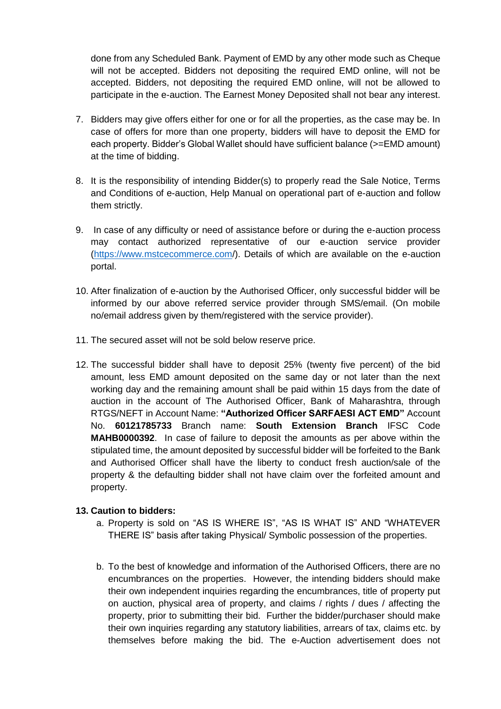done from any Scheduled Bank. Payment of EMD by any other mode such as Cheque will not be accepted. Bidders not depositing the required EMD online, will not be accepted. Bidders, not depositing the required EMD online, will not be allowed to participate in the e-auction. The Earnest Money Deposited shall not bear any interest.

- 7. Bidders may give offers either for one or for all the properties, as the case may be. In case of offers for more than one property, bidders will have to deposit the EMD for each property. Bidder's Global Wallet should have sufficient balance (>=EMD amount) at the time of bidding.
- 8. It is the responsibility of intending Bidder(s) to properly read the Sale Notice, Terms and Conditions of e-auction, Help Manual on operational part of e-auction and follow them strictly.
- 9. In case of any difficulty or need of assistance before or during the e-auction process may contact authorized representative of our e-auction service provider [\(https://www.mstcecommerce.com/](https://www.mstcecommerce.com/)). Details of which are available on the e-auction portal.
- 10. After finalization of e-auction by the Authorised Officer, only successful bidder will be informed by our above referred service provider through SMS/email. (On mobile no/email address given by them/registered with the service provider).
- 11. The secured asset will not be sold below reserve price.
- 12. The successful bidder shall have to deposit 25% (twenty five percent) of the bid amount, less EMD amount deposited on the same day or not later than the next working day and the remaining amount shall be paid within 15 days from the date of auction in the account of The Authorised Officer, Bank of Maharashtra, through RTGS/NEFT in Account Name: **"Authorized Officer SARFAESI ACT EMD"** Account No. **60121785733** Branch name: **South Extension Branch** IFSC Code **MAHB0000392**. In case of failure to deposit the amounts as per above within the stipulated time, the amount deposited by successful bidder will be forfeited to the Bank and Authorised Officer shall have the liberty to conduct fresh auction/sale of the property & the defaulting bidder shall not have claim over the forfeited amount and property.

## **13. Caution to bidders:**

- a. Property is sold on "AS IS WHERE IS", "AS IS WHAT IS" AND "WHATEVER THERE IS" basis after taking Physical/ Symbolic possession of the properties.
- b. To the best of knowledge and information of the Authorised Officers, there are no encumbrances on the properties. However, the intending bidders should make their own independent inquiries regarding the encumbrances, title of property put on auction, physical area of property, and claims / rights / dues / affecting the property, prior to submitting their bid. Further the bidder/purchaser should make their own inquiries regarding any statutory liabilities, arrears of tax, claims etc. by themselves before making the bid. The e-Auction advertisement does not